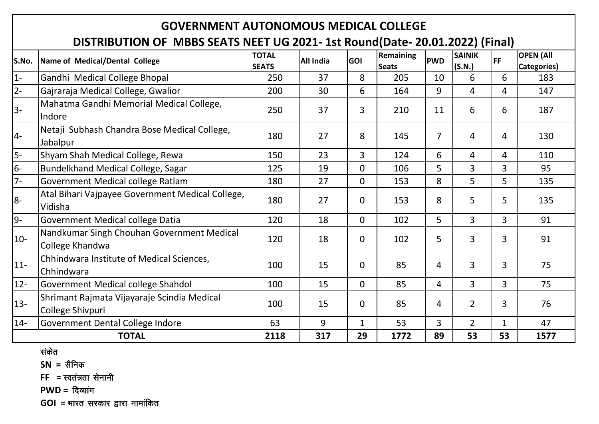# **GOVERNMENT AUTONOMOUS MEDICAL COLLEGE**

## **DISTRIBUTION OF MBBS SEATS NEET UG 2021- 1st Round(Date- 20.01.2022) (Final)**

| S.No.  | Name of Medical/Dental College                   | <b>TOTAL</b> | <b>All India</b> | GOI            | Remaining    | <b>PWD</b>     | <b>SAINIK</b>  | <b>FF</b>      | <b>OPEN (All</b> |
|--------|--------------------------------------------------|--------------|------------------|----------------|--------------|----------------|----------------|----------------|------------------|
|        |                                                  | <b>SEATS</b> |                  |                | <b>Seats</b> |                | (S.N.)         |                | Categories)      |
| $1 -$  | Gandhi Medical College Bhopal                    | 250          | 37               | 8              | 205          | 10             | 6              | 6              | 183              |
| $2-$   | Gajraraja Medical College, Gwalior               | 200          | 30               | 6              | 164          | 9              | 4              | 4              | 147              |
| $3-$   | Mahatma Gandhi Memorial Medical College,         | 250          | 37               | 3              | 210          | 11             | 6              | 6              | 187              |
|        | Indore                                           |              |                  |                |              |                |                |                |                  |
| 4-     | Netaji Subhash Chandra Bose Medical College,     | 180          | 27               | 8              | 145          | $\overline{7}$ | 4              | 4              | 130              |
|        | Jabalpur                                         |              |                  |                |              |                |                |                |                  |
| $5-$   | Shyam Shah Medical College, Rewa                 | 150          | 23               | 3              | 124          | 6              | 4              | 4              | 110              |
| $6-$   | Bundelkhand Medical College, Sagar               | 125          | 19               | $\overline{0}$ | 106          | 5              | $\overline{3}$ | 3              | 95               |
| $7-$   | Government Medical college Ratlam                | 180          | 27               | $\mathbf 0$    | 153          | 8              | 5              | 5              | 135              |
| 8-     | Atal Bihari Vajpayee Government Medical College, | 180          | 27               | $\mathbf 0$    | 153          | 8              | 5              | 5              | 135              |
|        | Vidisha                                          |              |                  |                |              |                |                |                |                  |
| $9-$   | <b>Government Medical college Datia</b>          | 120          | 18               | $\overline{0}$ | 102          | 5              | $\overline{3}$ | 3              | 91               |
|        | Nandkumar Singh Chouhan Government Medical       | 120          | 18               | $\mathbf 0$    |              | 5              | 3              | 3              | 91               |
| $10-$  | College Khandwa                                  |              |                  |                | 102          |                |                |                |                  |
|        | Chhindwara Institute of Medical Sciences,        |              | 15               |                | 85           |                | 3              | 3              | 75               |
| $11 -$ | Chhindwara                                       | 100          |                  | $\overline{0}$ |              | 4              |                |                |                  |
| $12-$  | Government Medical college Shahdol               | 100          | 15               | $\overline{0}$ | 85           | 4              | $\overline{3}$ | $\overline{3}$ | 75               |
| $13 -$ | Shrimant Rajmata Vijayaraje Scindia Medical      | 100          | 15               | $\mathbf 0$    | 85           | 4              | $\overline{2}$ | 3              | 76               |
|        | College Shivpuri                                 |              |                  |                |              |                |                |                |                  |
| $14 -$ | Government Dental College Indore                 | 63           | 9                | $\mathbf 1$    | 53           | 3              | $\overline{2}$ | $\mathbf{1}$   | 47               |
|        | <b>TOTAL</b>                                     | 2118         | 317              | 29             | 1772         | 89             | 53             | 53             | 1577             |

संकेत

**SN** = सैनिक

 $FF = \text{r}$  =  $\text{r}$  and  $\text{r}$  and  $\text{r}$ 

**PWD = दिव्यांग** 

**GOI** = भारत सरकार द्वारा नामांकित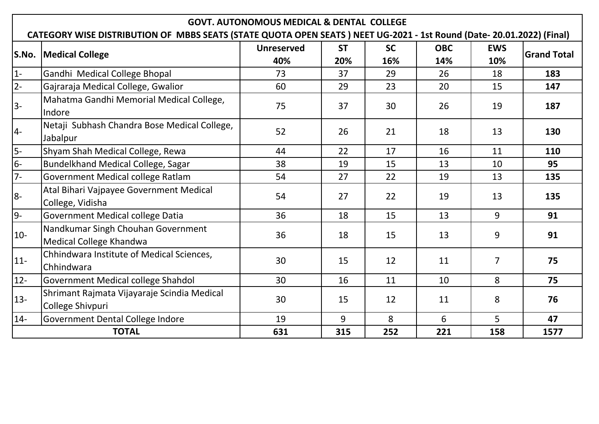|        | <b>GOVT. AUTONOMOUS MEDICAL &amp; DENTAL COLLEGE</b>                                                                  |                   |           |           |            |                |                    |  |  |  |  |  |  |
|--------|-----------------------------------------------------------------------------------------------------------------------|-------------------|-----------|-----------|------------|----------------|--------------------|--|--|--|--|--|--|
|        | CATEGORY WISE DISTRIBUTION OF MBBS SEATS (STATE QUOTA OPEN SEATS) NEET UG-2021 - 1st Round (Date- 20.01.2022) (Final) |                   |           |           |            |                |                    |  |  |  |  |  |  |
| S.No.  | Medical College                                                                                                       | <b>Unreserved</b> | <b>ST</b> | <b>SC</b> | <b>OBC</b> | <b>EWS</b>     | <b>Grand Total</b> |  |  |  |  |  |  |
|        |                                                                                                                       | 40%               | 20%       | 16%       | 14%        | 10%            |                    |  |  |  |  |  |  |
| $ 1-$  | Gandhi Medical College Bhopal                                                                                         | 73                | 37        | 29        | 26         | 18             | 183                |  |  |  |  |  |  |
| $2-$   | Gajraraja Medical College, Gwalior                                                                                    | 60                | 29        | 23        | 20         | 15             | 147                |  |  |  |  |  |  |
| 3-     | Mahatma Gandhi Memorial Medical College,<br>Indore                                                                    | 75                | 37        | 30        | 26         | 19             | 187                |  |  |  |  |  |  |
| $ 4-$  | Netaji Subhash Chandra Bose Medical College,<br>Jabalpur                                                              | 52                | 26        | 21        | 18         | 13             | 130                |  |  |  |  |  |  |
| 5-     | Shyam Shah Medical College, Rewa                                                                                      | 44                | 22        | 17        | 16         | 11             | 110                |  |  |  |  |  |  |
| 6-     | Bundelkhand Medical College, Sagar                                                                                    | 38                | 19        | 15        | 13         | 10             | 95                 |  |  |  |  |  |  |
| 7-     | <b>Government Medical college Ratlam</b>                                                                              | 54                | 27        | 22        | 19         | 13             | 135                |  |  |  |  |  |  |
| 8-     | Atal Bihari Vajpayee Government Medical                                                                               | 54                | 27        | 22        | 19         | 13             | 135                |  |  |  |  |  |  |
| 9-     | College, Vidisha                                                                                                      | 36                | 18        | 15        | 13         | 9              | 91                 |  |  |  |  |  |  |
|        | <b>Government Medical college Datia</b>                                                                               |                   |           |           |            |                |                    |  |  |  |  |  |  |
| $10-$  | Nandkumar Singh Chouhan Government<br>Medical College Khandwa                                                         | 36                | 18        | 15        | 13         | 9              | 91                 |  |  |  |  |  |  |
| $11 -$ | Chhindwara Institute of Medical Sciences,<br>Chhindwara                                                               | 30                | 15        | 12        | 11         | $\overline{7}$ | 75                 |  |  |  |  |  |  |
| $12 -$ | Government Medical college Shahdol                                                                                    | 30                | 16        | 11        | 10         | 8              | 75                 |  |  |  |  |  |  |
| $13 -$ | Shrimant Rajmata Vijayaraje Scindia Medical                                                                           | 30                | 15        | 12        | 11         | 8              | 76                 |  |  |  |  |  |  |
|        | College Shivpuri                                                                                                      |                   |           |           |            |                |                    |  |  |  |  |  |  |
| $14-$  | Government Dental College Indore                                                                                      | 19                | 9         | 8         | 6          | 5              | 47                 |  |  |  |  |  |  |
|        | <b>TOTAL</b>                                                                                                          | 631               | 315       | 252       | 221        | 158            | 1577               |  |  |  |  |  |  |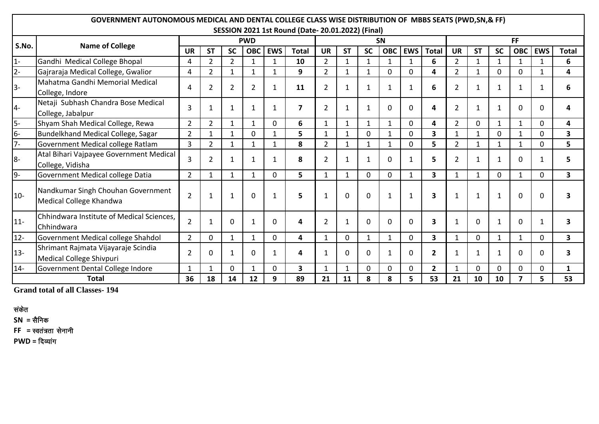|        | GOVERNMENT AUTONOMOUS MEDICAL AND DENTAL COLLEGE CLASS WISE DISTRIBUTION OF MBBS SEATS (PWD, SN, & FF) |                |                |                |                |              |                                                  |                |              |              |              |                |                         |                |              |             |                         |              |                         |
|--------|--------------------------------------------------------------------------------------------------------|----------------|----------------|----------------|----------------|--------------|--------------------------------------------------|----------------|--------------|--------------|--------------|----------------|-------------------------|----------------|--------------|-------------|-------------------------|--------------|-------------------------|
|        |                                                                                                        |                |                |                |                |              | SESSION 2021 1st Round (Date-20.01.2022) (Final) |                |              |              |              |                |                         |                |              |             |                         |              |                         |
| S.No.  | <b>Name of College</b>                                                                                 |                | <b>PWD</b>     |                |                | <b>SN</b>    |                                                  |                |              |              | <b>FF</b>    |                |                         |                |              |             |                         |              |                         |
|        |                                                                                                        | <b>UR</b>      | <b>ST</b>      | <b>SC</b>      | <b>OBC</b>     | <b>EWS</b>   | <b>Total</b>                                     | <b>UR</b>      | <b>ST</b>    | <b>SC</b>    | <b>OBC</b>   | <b>EWS</b>     | <b>Total</b>            | <b>UR</b>      | <b>ST</b>    | <b>SC</b>   | <b>OBC</b>              | <b>EWS</b>   | <b>Total</b>            |
| $1 -$  | Gandhi Medical College Bhopal                                                                          | 4              | $\overline{2}$ | $\overline{2}$ | $\mathbf{1}$   | $\mathbf{1}$ | 10                                               | $\overline{2}$ | $\mathbf{1}$ | $\mathbf{1}$ | $\mathbf{1}$ | $\mathbf{1}$   | 6                       | $\overline{2}$ | 1            | 1           | $\mathbf{1}$            | $\mathbf{1}$ | 6                       |
| $2 -$  | Gajraraja Medical College, Gwalior                                                                     | 4              | $\overline{2}$ | $\mathbf{1}$   | $\mathbf{1}$   | $\mathbf{1}$ | 9                                                | $\overline{2}$ | $\mathbf{1}$ | 1            | $\mathbf 0$  | $\Omega$       | 4                       | $\overline{2}$ | $\mathbf{1}$ | $\Omega$    | $\Omega$                | $\mathbf{1}$ | 4                       |
| $3-$   | Mahatma Gandhi Memorial Medical<br>College, Indore                                                     | 4              | $\overline{2}$ | $\overline{2}$ | $\overline{2}$ | 1            | 11                                               | $\overline{2}$ | 1            | 1            | $\mathbf{1}$ | $\mathbf{1}$   | 6                       | $\overline{2}$ |              |             | 1                       | 1            | 6                       |
| $ 4-$  | Netaji Subhash Chandra Bose Medical<br>College, Jabalpur                                               | 3              | 1              | $\mathbf{1}$   | 1              | 1            | 7                                                | $\overline{2}$ | 1            | 1            | $\Omega$     | $\mathbf 0$    | 4                       | $\overline{2}$ |              |             | $\mathbf{0}$            | $\Omega$     | Δ                       |
| 5-     | Shyam Shah Medical College, Rewa                                                                       | $\overline{2}$ | $\overline{2}$ | $\mathbf{1}$   | $\mathbf{1}$   | 0            | 6                                                | $\mathbf{1}$   |              | $\mathbf{1}$ | $\mathbf{1}$ | $\mathbf 0$    | 4                       | $\overline{2}$ | 0            |             | $\mathbf{1}$            | 0            | 4                       |
| $6-$   | Bundelkhand Medical College, Sagar                                                                     | $\overline{2}$ | $\mathbf{1}$   | $\mathbf{1}$   | 0              | $\mathbf{1}$ | 5                                                | $\mathbf{1}$   | $\mathbf{1}$ | 0            | $\mathbf{1}$ | $\mathbf 0$    | 3                       | $\mathbf{1}$   | $\mathbf{1}$ | 0           | $\mathbf{1}$            | 0            | 3                       |
| $7-$   | Government Medical college Ratlam                                                                      | $\overline{3}$ | $\overline{2}$ | $\mathbf{1}$   | $\mathbf{1}$   | $\mathbf{1}$ | 8                                                | $\overline{2}$ | $\mathbf{1}$ | $\mathbf{1}$ | $\mathbf{1}$ | $\mathbf 0$    | 5                       | $\overline{2}$ | $\mathbf{1}$ | 1           | $\mathbf{1}$            | $\Omega$     | 5                       |
| 8-     | Atal Bihari Vajpayee Government Medical<br>College, Vidisha                                            | 3              | $\overline{2}$ | 1              |                | 1            | 8                                                | $\overline{2}$ | 1            | -1           | $\mathbf 0$  | $\mathbf{1}$   | 5                       | $\overline{2}$ |              |             | $\mathbf{0}$            | 1            | 5                       |
| 9-     | Government Medical college Datia                                                                       | $\overline{2}$ | $\mathbf{1}$   | $\mathbf{1}$   | $\mathbf{1}$   | 0            | 5.                                               | $\mathbf{1}$   | $\mathbf{1}$ | 0            | $\mathbf 0$  | $\mathbf{1}$   | 3                       | $\mathbf{1}$   | $\mathbf{1}$ | 0           | $\mathbf{1}$            | 0            | $\overline{\mathbf{3}}$ |
| $10-$  | Nandkumar Singh Chouhan Government<br>Medical College Khandwa                                          | $\overline{2}$ |                | 1              | $\Omega$       | 1            | 5                                                | 1              | $\Omega$     | $\Omega$     | $\mathbf{1}$ | $\mathbf{1}$   | $\overline{\mathbf{3}}$ | 1              |              |             | $\Omega$                | 0            |                         |
| $11-$  | Chhindwara Institute of Medical Sciences,<br>Chhindwara                                                | $\overline{2}$ |                | $\Omega$       |                | $\mathbf{0}$ | 4                                                | 2              | $\mathbf{1}$ | $\Omega$     | $\Omega$     | $\mathbf 0$    | 3                       | 1              | $\Omega$     |             | $\mathbf{0}$            | -1           | 3                       |
| $12 -$ | Government Medical college Shahdol                                                                     | $\overline{2}$ | $\mathbf 0$    | $\mathbf{1}$   | $\mathbf{1}$   | $\Omega$     | 4                                                | $\mathbf{1}$   | 0            | $\mathbf{1}$ | 1            | $\Omega$       | $\overline{\mathbf{3}}$ | $\mathbf{1}$   | 0            | 1           | $\mathbf{1}$            | $\Omega$     | $\overline{\mathbf{3}}$ |
| $13 -$ | Shrimant Rajmata Vijayaraje Scindia<br>Medical College Shivpuri                                        | $\overline{2}$ | 0              |                | $\mathbf 0$    | 1            | 4                                                |                | 0            | $\Omega$     | $\mathbf 1$  | $\mathbf 0$    | $\overline{2}$          | 1              |              |             | $\mathbf 0$             | $\Omega$     |                         |
| $14-$  | Government Dental College Indore                                                                       | 1              | $\mathbf{1}$   | $\Omega$       | -1             | $\mathbf 0$  | $\overline{\mathbf{3}}$                          | $\mathbf{1}$   | $\mathbf{1}$ | $\Omega$     | $\mathbf 0$  | 0              | $\overline{2}$          | $\mathbf{1}$   | 0            | $\mathbf 0$ | 0                       | $\Omega$     | $\mathbf{1}$            |
|        | Total                                                                                                  | 36             | 18             | 14             | 12             | 9            | 89                                               | 21             | 11           | 8            | 8            | 5 <sup>1</sup> | 53                      | 21             | 10           | 10          | $\overline{\mathbf{z}}$ | 5            | 53                      |

**Grand total of all Classes- 194**

#### संकेत

 $SN =$ सैनिक

 $FF = \frac{1}{2}$  =  $\frac{1}{2}$  =  $\frac{1}{2}$  and  $\frac{1}{2}$  and  $\frac{1}{2}$  and  $\frac{1}{2}$  and  $\frac{1}{2}$  and  $\frac{1}{2}$  and  $\frac{1}{2}$  and  $\frac{1}{2}$  and  $\frac{1}{2}$  and  $\frac{1}{2}$  and  $\frac{1}{2}$  and  $\frac{1}{2}$  and  $\frac{1}{2}$  and  $\frac{1}{2}$  and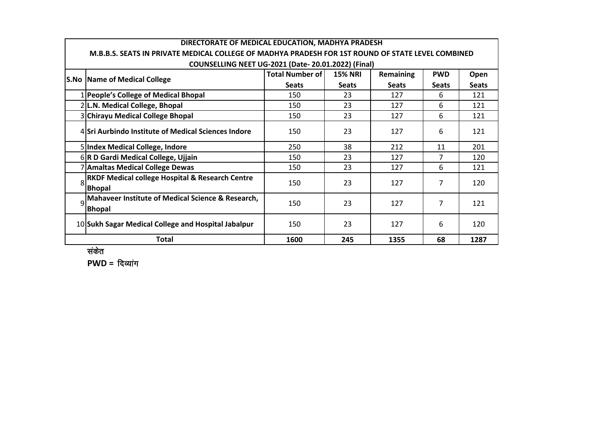|   | DIRECTORATE OF MEDICAL EDUCATION, MADHYA PRADESH                                                  |                        |                |              |              |              |  |  |  |  |  |  |  |
|---|---------------------------------------------------------------------------------------------------|------------------------|----------------|--------------|--------------|--------------|--|--|--|--|--|--|--|
|   | M.B.B.S. SEATS IN PRIVATE MEDICAL COLLEGE OF MADHYA PRADESH FOR 1ST ROUND OF STATE LEVEL COMBINED |                        |                |              |              |              |  |  |  |  |  |  |  |
|   | <b>COUNSELLING NEET UG-2021 (Date-20.01.2022) (Final)</b>                                         |                        |                |              |              |              |  |  |  |  |  |  |  |
|   | <b>S.No   Name of Medical College</b>                                                             | <b>Total Number of</b> | <b>15% NRI</b> | Remaining    | <b>PWD</b>   | Open         |  |  |  |  |  |  |  |
|   |                                                                                                   | <b>Seats</b>           | <b>Seats</b>   | <b>Seats</b> | <b>Seats</b> | <b>Seats</b> |  |  |  |  |  |  |  |
|   | 1 People's College of Medical Bhopal                                                              | 150                    | 23             | 127          | 6            | 121          |  |  |  |  |  |  |  |
|   | 2 L.N. Medical College, Bhopal                                                                    | 150                    | 23             | 127          | 6            | 121          |  |  |  |  |  |  |  |
|   | 3 Chirayu Medical College Bhopal                                                                  | 150                    | 23             | 127          | 6            | 121          |  |  |  |  |  |  |  |
|   | 4 Sri Aurbindo Institute of Medical Sciences Indore                                               | 150                    | 23             | 127          | 6            | 121          |  |  |  |  |  |  |  |
|   | 5 Index Medical College, Indore                                                                   | 250                    | 38             | 212          | 11           | 201          |  |  |  |  |  |  |  |
|   | 6R D Gardi Medical College, Ujjain                                                                | 150                    | 23             | 127          | 7            | 120          |  |  |  |  |  |  |  |
|   | 7 Amaltas Medical College Dewas                                                                   | 150                    | 23             | 127          | 6            | 121          |  |  |  |  |  |  |  |
| 8 | <b>RKDF Medical college Hospital &amp; Research Centre</b><br><b>Bhopal</b>                       | 150                    | 23             | 127          | 7            | 120          |  |  |  |  |  |  |  |
| q | Mahaveer Institute of Medical Science & Research,<br><b>Bhopal</b>                                | 150                    | 23             | 127          | 7            | 121          |  |  |  |  |  |  |  |
|   | 10 Sukh Sagar Medical College and Hospital Jabalpur                                               | 150                    | 23             | 127          | 6            | 120          |  |  |  |  |  |  |  |
|   | <b>Total</b>                                                                                      | 1600                   | 245            | 1355         | 68           | 1287         |  |  |  |  |  |  |  |

संकेत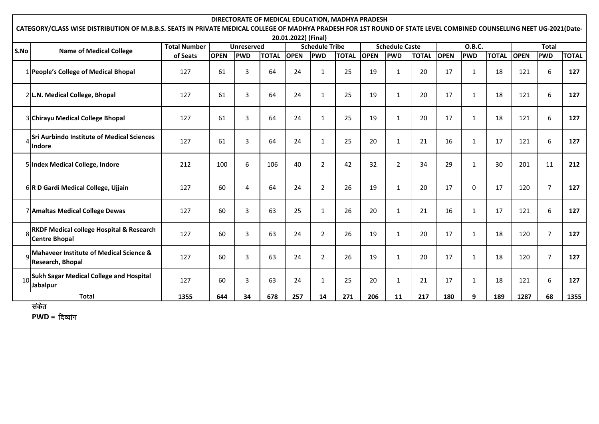|              | DIRECTORATE OF MEDICAL EDUCATION, MADHYA PRADESH<br>CATEGORY/CLASS WISE DISTRIBUTION OF M.B.B.S. SEATS IN PRIVATE MEDICAL COLLEGE OF MADHYA PRADESH FOR 1ST ROUND OF STATE LEVEL COMBINED COUNSELLING NEET UG-2021(Date- |                     |             |                   |              |                     |                       |              |                       |                |              |             |              |              |              |                |              |
|--------------|--------------------------------------------------------------------------------------------------------------------------------------------------------------------------------------------------------------------------|---------------------|-------------|-------------------|--------------|---------------------|-----------------------|--------------|-----------------------|----------------|--------------|-------------|--------------|--------------|--------------|----------------|--------------|
|              |                                                                                                                                                                                                                          |                     |             |                   |              | 20.01.2022) (Final) |                       |              |                       |                |              |             |              |              |              |                |              |
| S.No         |                                                                                                                                                                                                                          | <b>Total Number</b> |             | <b>Unreserved</b> |              |                     | <b>Schedule Tribe</b> |              | <b>Schedule Caste</b> |                |              |             | O.B.C.       |              | <b>Total</b> |                |              |
|              | <b>Name of Medical College</b>                                                                                                                                                                                           | of Seats            | <b>OPEN</b> | <b>PWD</b>        | <b>TOTAL</b> | <b>OPEN</b>         | <b>PWD</b>            | <b>TOTAL</b> | <b>OPEN</b>           | <b>PWD</b>     | <b>TOTAL</b> | <b>OPEN</b> | <b>PWD</b>   | <b>TOTAL</b> | <b>OPEN</b>  | <b>PWD</b>     | <b>TOTAL</b> |
|              | 1 People's College of Medical Bhopal                                                                                                                                                                                     | 127                 | 61          | 3                 | 64           | 24                  | 1                     | 25           | 19                    | 1              | 20           | 17          | $\mathbf{1}$ | 18           | 121          | 6              | 127          |
|              | 2 L.N. Medical College, Bhopal                                                                                                                                                                                           | 127                 | 61          | 3                 | 64           | 24                  | $\mathbf{1}$          | 25           | 19                    | $\mathbf{1}$   | 20           | 17          | $\mathbf{1}$ | 18           | 121          | 6              | 127          |
|              | 3 Chirayu Medical College Bhopal                                                                                                                                                                                         | 127                 | 61          | 3                 | 64           | 24                  | 1                     | 25           | 19                    | $\mathbf{1}$   | 20           | 17          | $\mathbf{1}$ | 18           | 121          | 6              | 127          |
|              | <b>Sri Aurbindo Institute of Medical Sciences</b><br><b>Indore</b>                                                                                                                                                       | 127                 | 61          | 3                 | 64           | 24                  | $\mathbf{1}$          | 25           | 20                    | 1              | 21           | 16          | $\mathbf{1}$ | 17           | 121          | 6              | 127          |
|              | 5 Index Medical College, Indore                                                                                                                                                                                          | 212                 | 100         | 6                 | 106          | 40                  | $\overline{2}$        | 42           | 32                    | $\overline{2}$ | 34           | 29          | $\mathbf{1}$ | 30           | 201          | 11             | 212          |
|              | 6R D Gardi Medical College, Ujjain                                                                                                                                                                                       | 127                 | 60          | 4                 | 64           | 24                  | 2                     | 26           | 19                    | $\mathbf{1}$   | 20           | 17          | 0            | 17           | 120          | $\overline{7}$ | 127          |
|              | 7 Amaltas Medical College Dewas                                                                                                                                                                                          | 127                 | 60          | 3                 | 63           | 25                  | $\mathbf{1}$          | 26           | 20                    | $\mathbf{1}$   | 21           | 16          | $\mathbf{1}$ | 17           | 121          | 6              | 127          |
|              | RKDF Medical college Hospital & Research<br><b>Centre Bhopal</b>                                                                                                                                                         | 127                 | 60          | 3                 | 63           | 24                  | $\overline{2}$        | 26           | 19                    | $\mathbf{1}$   | 20           | 17          | $\mathbf{1}$ | 18           | 120          | $\overline{7}$ | 127          |
|              | <b>Mahaveer Institute of Medical Science &amp;</b><br>Research, Bhopal                                                                                                                                                   | 127                 | 60          | 3                 | 63           | 24                  | $\overline{2}$        | 26           | 19                    | 1              | 20           | 17          | 1            | 18           | 120          | $\overline{7}$ | 127          |
| 10           | <b>Sukh Sagar Medical College and Hospital</b><br>Jabalpur                                                                                                                                                               | 127                 | 60          | 3                 | 63           | 24                  | 1                     | 25           | 20                    | 1              | 21           | 17          | 1            | 18           | 121          | 6              | 127          |
| <b>Total</b> |                                                                                                                                                                                                                          | 1355                | 644         | 34                | 678          | 257                 | 14                    | 271          | 206                   | 11             | 217          | 180         | 9            | 189          | 1287         | 68             | 1355         |

सकेत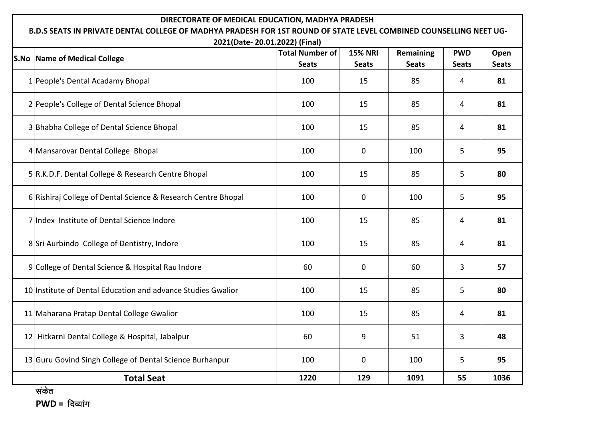| DIRECTORATE OF MEDICAL EDUCATION, MADHYA PRADESH<br>B.D.S SEATS IN PRIVATE DENTAL COLLEGE OF MADHYA PRADESH FOR 1ST ROUND OF STATE LEVEL COMBINED COUNSELLING NEET UG-<br>2021(Date-20.01.2022) (Final) |                                        |                                |                           |                            |                      |  |  |  |  |  |  |  |
|---------------------------------------------------------------------------------------------------------------------------------------------------------------------------------------------------------|----------------------------------------|--------------------------------|---------------------------|----------------------------|----------------------|--|--|--|--|--|--|--|
| <b>S.No Name of Medical College</b>                                                                                                                                                                     | <b>Total Number of</b><br><b>Seats</b> | <b>15% NRI</b><br><b>Seats</b> | Remaining<br><b>Seats</b> | <b>PWD</b><br><b>Seats</b> | Open<br><b>Seats</b> |  |  |  |  |  |  |  |
| 1 People's Dental Acadamy Bhopal                                                                                                                                                                        | 100                                    | 15                             | 85                        | 4                          | 81                   |  |  |  |  |  |  |  |
| 2 People's College of Dental Science Bhopal                                                                                                                                                             | 100                                    | 15                             | 85                        | 4                          | 81                   |  |  |  |  |  |  |  |
| 3 Bhabha College of Dental Science Bhopal                                                                                                                                                               | 100                                    | 15                             | 85                        | 4                          | 81                   |  |  |  |  |  |  |  |
| 4 Mansarovar Dental College Bhopal                                                                                                                                                                      | 100                                    | 0                              | 100                       | 5                          | 95                   |  |  |  |  |  |  |  |
| 5 R.K.D.F. Dental College & Research Centre Bhopal                                                                                                                                                      | 100                                    | 15                             | 85                        | 5                          | 80                   |  |  |  |  |  |  |  |
| 6 Rishiraj College of Dental Science & Research Centre Bhopal                                                                                                                                           | 100                                    | 0                              | 100                       | 5                          | 95                   |  |  |  |  |  |  |  |
| 7 Index Institute of Dental Science Indore                                                                                                                                                              | 100                                    | 85<br>15                       |                           |                            | 81                   |  |  |  |  |  |  |  |
| 8 Sri Aurbindo College of Dentistry, Indore                                                                                                                                                             | 100                                    | 15                             | 85                        | $\overline{4}$             | 81                   |  |  |  |  |  |  |  |
| 9 College of Dental Science & Hospital Rau Indore                                                                                                                                                       | 60                                     | 0                              | 60                        | 3                          | 57                   |  |  |  |  |  |  |  |
| 10 Institute of Dental Education and advance Studies Gwalior                                                                                                                                            | 100                                    | 15                             | 85                        | 5                          | 80                   |  |  |  |  |  |  |  |
| 11 Maharana Pratap Dental College Gwalior                                                                                                                                                               | 100                                    | 15                             | 85                        | 4                          | 81                   |  |  |  |  |  |  |  |
| 12 Hitkarni Dental College & Hospital, Jabalpur                                                                                                                                                         | 60                                     | 9                              | 51                        | $\overline{3}$             | 48                   |  |  |  |  |  |  |  |
| 13 Guru Govind Singh College of Dental Science Burhanpur                                                                                                                                                | 100                                    | 0                              | 100                       | 5                          | 95                   |  |  |  |  |  |  |  |
| <b>Total Seat</b>                                                                                                                                                                                       | 1220                                   | 129                            | 1091                      | 55                         | 1036                 |  |  |  |  |  |  |  |